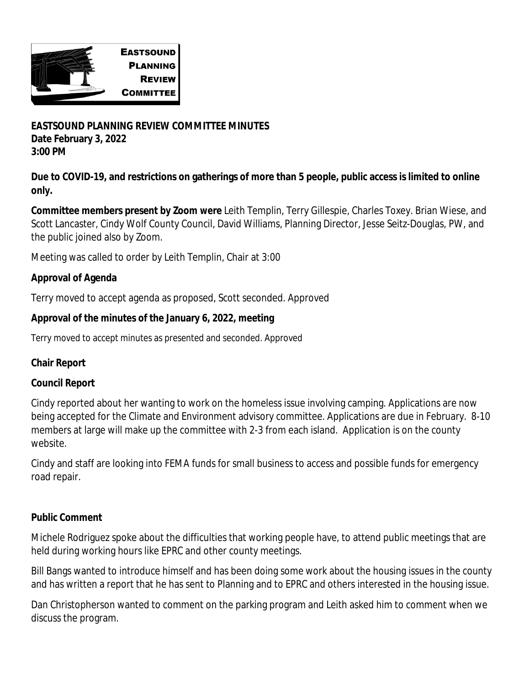

**EASTSOUND PLANNING REVIEW COMMITTEE MINUTES Date February 3, 2022 3:00 PM**

**Due to COVID-19, and restrictions on gatherings of more than 5 people, public access is limited to online only.**

**Committee members present by Zoom were** Leith Templin, Terry Gillespie, Charles Toxey. Brian Wiese, and Scott Lancaster, Cindy Wolf County Council, David Williams, Planning Director, Jesse Seitz-Douglas, PW, and the public joined also by Zoom.

Meeting was called to order by Leith Templin, Chair at 3:00

# **Approval of Agenda**

Terry moved to accept agenda as proposed, Scott seconded. Approved

## **Approval of the minutes of the January 6, 2022, meeting**

Terry moved to accept minutes as presented and seconded. Approved

# **Chair Report**

#### **Council Report**

Cindy reported about her wanting to work on the homeless issue involving camping. Applications are now being accepted for the Climate and Environment advisory committee. Applications are due in February. 8-10 members at large will make up the committee with 2-3 from each island. Application is on the county website.

Cindy and staff are looking into FEMA funds for small business to access and possible funds for emergency road repair.

#### **Public Comment**

Michele Rodriguez spoke about the difficulties that working people have, to attend public meetings that are held during working hours like EPRC and other county meetings.

Bill Bangs wanted to introduce himself and has been doing some work about the housing issues in the county and has written a report that he has sent to Planning and to EPRC and others interested in the housing issue.

Dan Christopherson wanted to comment on the parking program and Leith asked him to comment when we discuss the program.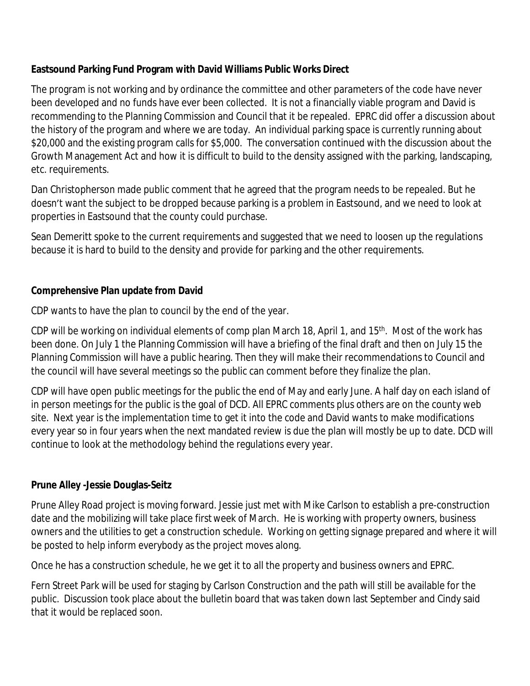# **Eastsound Parking Fund Program with David Williams Public Works Direct**

The program is not working and by ordinance the committee and other parameters of the code have never been developed and no funds have ever been collected. It is not a financially viable program and David is recommending to the Planning Commission and Council that it be repealed. EPRC did offer a discussion about the history of the program and where we are today. An individual parking space is currently running about \$20,000 and the existing program calls for \$5,000. The conversation continued with the discussion about the Growth Management Act and how it is difficult to build to the density assigned with the parking, landscaping, etc. requirements.

Dan Christopherson made public comment that he agreed that the program needs to be repealed. But he doesn't want the subject to be dropped because parking is a problem in Eastsound, and we need to look at properties in Eastsound that the county could purchase.

Sean Demeritt spoke to the current requirements and suggested that we need to loosen up the regulations because it is hard to build to the density and provide for parking and the other requirements.

## **Comprehensive Plan update from David**

CDP wants to have the plan to council by the end of the year.

CDP will be working on individual elements of comp plan March 18, April 1, and 15<sup>th</sup>. Most of the work has been done. On July 1 the Planning Commission will have a briefing of the final draft and then on July 15 the Planning Commission will have a public hearing. Then they will make their recommendations to Council and the council will have several meetings so the public can comment before they finalize the plan.

CDP will have open public meetings for the public the end of May and early June. A half day on each island of in person meetings for the public is the goal of DCD. All EPRC comments plus others are on the county web site. Next year is the implementation time to get it into the code and David wants to make modifications every year so in four years when the next mandated review is due the plan will mostly be up to date. DCD will continue to look at the methodology behind the regulations every year.

# **Prune Alley -Jessie Douglas-Seitz**

Prune Alley Road project is moving forward. Jessie just met with Mike Carlson to establish a pre-construction date and the mobilizing will take place first week of March. He is working with property owners, business owners and the utilities to get a construction schedule. Working on getting signage prepared and where it will be posted to help inform everybody as the project moves along.

Once he has a construction schedule, he we get it to all the property and business owners and EPRC.

Fern Street Park will be used for staging by Carlson Construction and the path will still be available for the public. Discussion took place about the bulletin board that was taken down last September and Cindy said that it would be replaced soon.